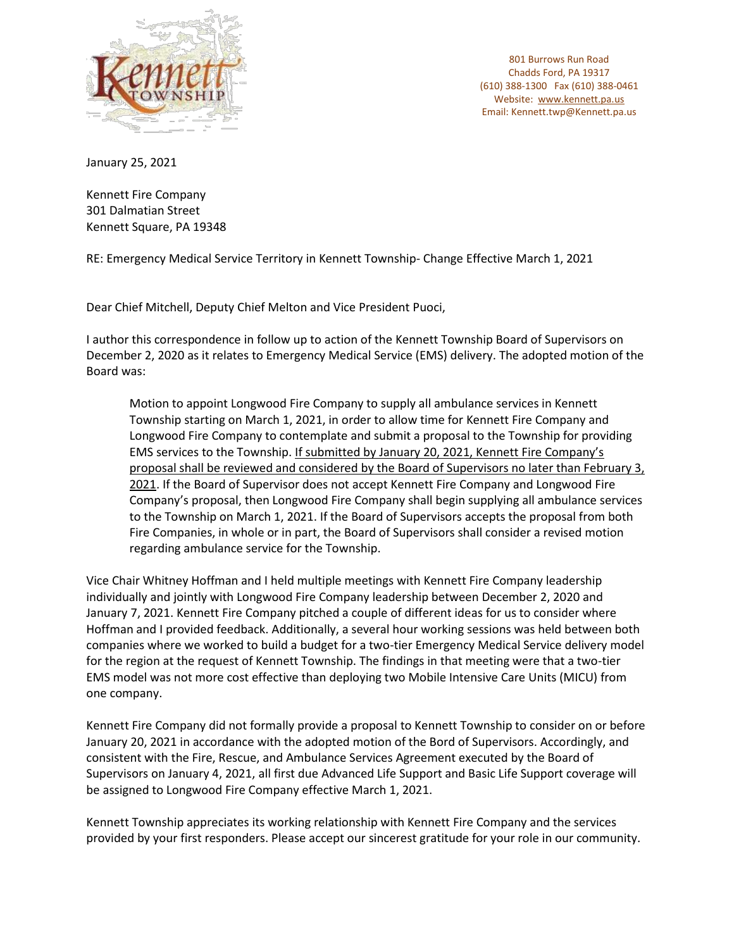

January 25, 2021

Kennett Fire Company 301 Dalmatian Street Kennett Square, PA 19348

RE: Emergency Medical Service Territory in Kennett Township- Change Effective March 1, 2021

Dear Chief Mitchell, Deputy Chief Melton and Vice President Puoci,

I author this correspondence in follow up to action of the Kennett Township Board of Supervisors on December 2, 2020 as it relates to Emergency Medical Service (EMS) delivery. The adopted motion of the Board was:

Motion to appoint Longwood Fire Company to supply all ambulance services in Kennett Township starting on March 1, 2021, in order to allow time for Kennett Fire Company and Longwood Fire Company to contemplate and submit a proposal to the Township for providing EMS services to the Township. If submitted by January 20, 2021, Kennett Fire Company's proposal shall be reviewed and considered by the Board of Supervisors no later than February 3, 2021. If the Board of Supervisor does not accept Kennett Fire Company and Longwood Fire Company's proposal, then Longwood Fire Company shall begin supplying all ambulance services to the Township on March 1, 2021. If the Board of Supervisors accepts the proposal from both Fire Companies, in whole or in part, the Board of Supervisors shall consider a revised motion regarding ambulance service for the Township.

Vice Chair Whitney Hoffman and I held multiple meetings with Kennett Fire Company leadership individually and jointly with Longwood Fire Company leadership between December 2, 2020 and January 7, 2021. Kennett Fire Company pitched a couple of different ideas for us to consider where Hoffman and I provided feedback. Additionally, a several hour working sessions was held between both companies where we worked to build a budget for a two-tier Emergency Medical Service delivery model for the region at the request of Kennett Township. The findings in that meeting were that a two-tier EMS model was not more cost effective than deploying two Mobile Intensive Care Units (MICU) from one company.

Kennett Fire Company did not formally provide a proposal to Kennett Township to consider on or before January 20, 2021 in accordance with the adopted motion of the Bord of Supervisors. Accordingly, and consistent with the Fire, Rescue, and Ambulance Services Agreement executed by the Board of Supervisors on January 4, 2021, all first due Advanced Life Support and Basic Life Support coverage will be assigned to Longwood Fire Company effective March 1, 2021.

Kennett Township appreciates its working relationship with Kennett Fire Company and the services provided by your first responders. Please accept our sincerest gratitude for your role in our community.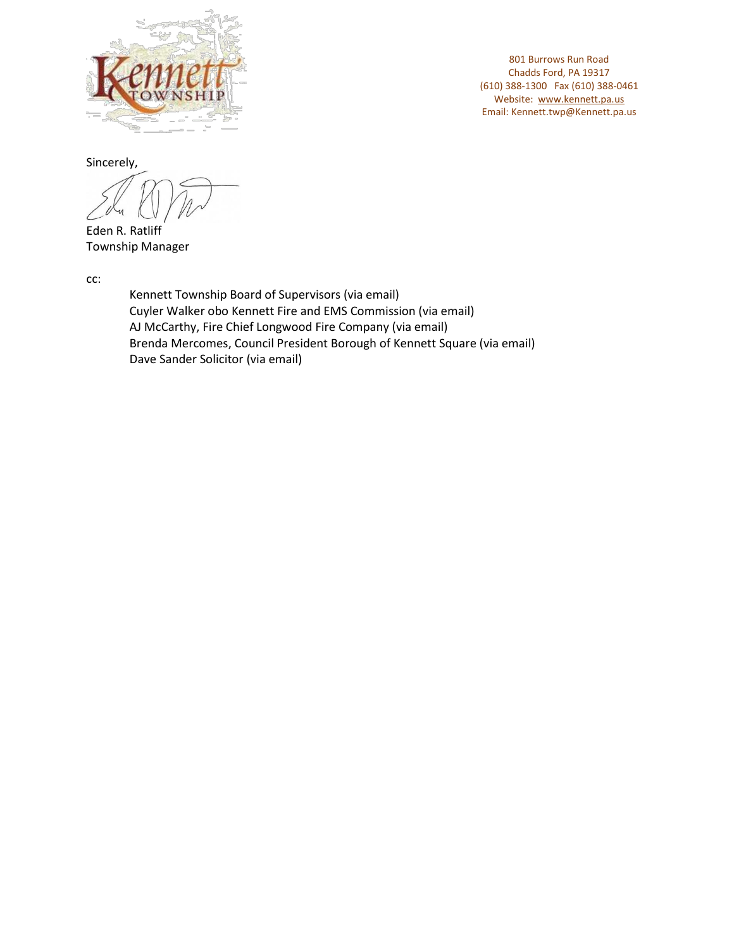

Sincerely,

Eden R. Ratliff Township Manager

cc:

Kennett Township Board of Supervisors (via email) Cuyler Walker obo Kennett Fire and EMS Commission (via email) AJ McCarthy, Fire Chief Longwood Fire Company (via email) Brenda Mercomes, Council President Borough of Kennett Square (via email) Dave Sander Solicitor (via email)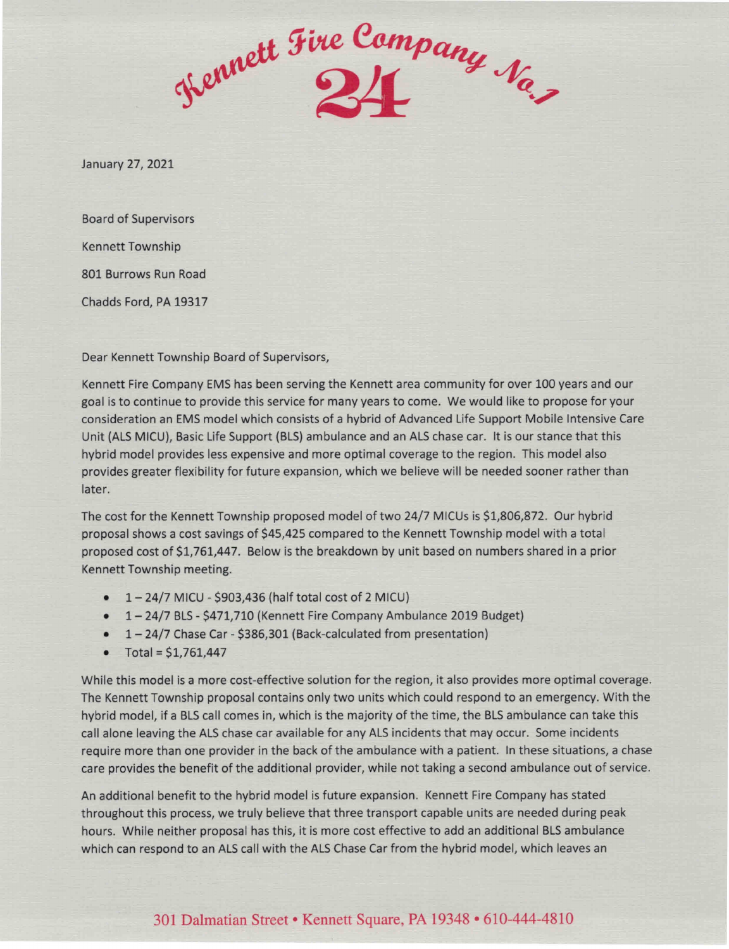Hennett Fire Company Na,

January 27, 2021

**Board of Supervisors Kennett Township** 801 Burrows Run Road Chadds Ford, PA 19317

Dear Kennett Township Board of Supervisors,

Kennett Fire Company EMS has been serving the Kennett area community for over 100 years and our goal is to continue to provide this service for many years to come. We would like to propose for your consideration an EMS model which consists of a hybrid of Advanced Life Support Mobile Intensive Care Unit (ALS MICU), Basic Life Support (BLS) ambulance and an ALS chase car. It is our stance that this hybrid model provides less expensive and more optimal coverage to the region. This model also provides greater flexibility for future expansion, which we believe will be needed sooner rather than later.

The cost for the Kennett Township proposed model of two 24/7 MICUs is \$1,806,872. Our hybrid proposal shows a cost savings of \$45,425 compared to the Kennett Township model with a total proposed cost of \$1,761,447. Below is the breakdown by unit based on numbers shared in a prior Kennett Township meeting.

- $-1-24/7$  MICU \$903,436 (half total cost of 2 MICU)
- 1-24/7 BLS \$471,710 (Kennett Fire Company Ambulance 2019 Budget)
- 1-24/7 Chase Car \$386,301 (Back-calculated from presentation)
- Total =  $$1,761,447$  $\bullet$

While this model is a more cost-effective solution for the region, it also provides more optimal coverage. The Kennett Township proposal contains only two units which could respond to an emergency. With the hybrid model, if a BLS call comes in, which is the majority of the time, the BLS ambulance can take this call alone leaving the ALS chase car available for any ALS incidents that may occur. Some incidents require more than one provider in the back of the ambulance with a patient. In these situations, a chase care provides the benefit of the additional provider, while not taking a second ambulance out of service.

An additional benefit to the hybrid model is future expansion. Kennett Fire Company has stated throughout this process, we truly believe that three transport capable units are needed during peak hours. While neither proposal has this, it is more cost effective to add an additional BLS ambulance which can respond to an ALS call with the ALS Chase Car from the hybrid model, which leaves an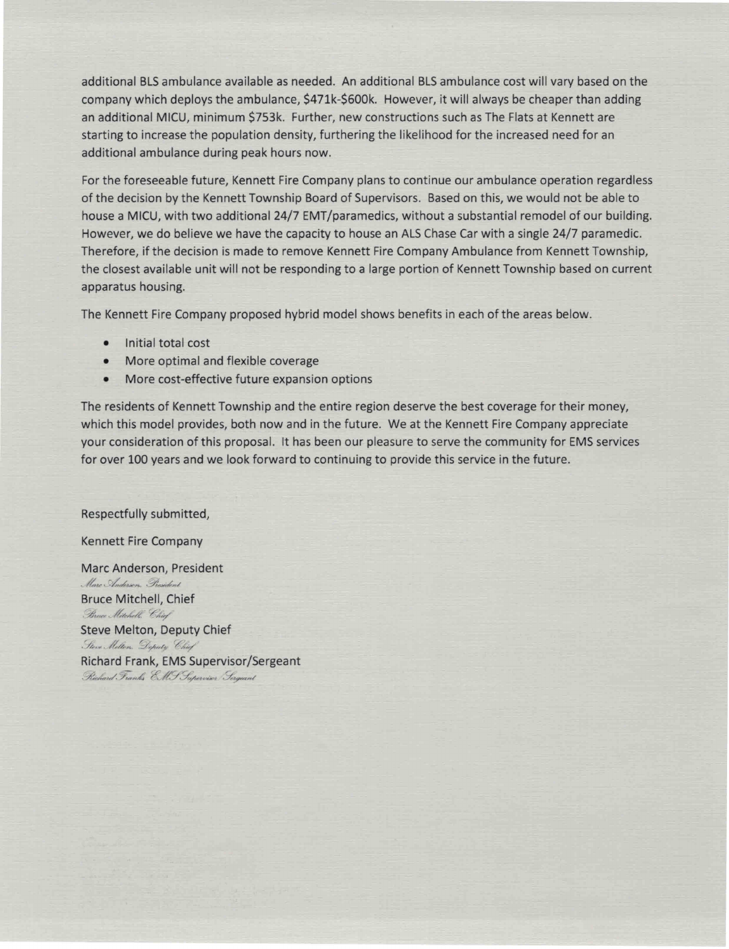additional BLS ambulance available as needed. An additional BLS ambulance cost will vary based on the company which deploys the ambulance, \$471k-\$600k. However, it will always be cheaper than adding an additional MICU, minimum \$753k. Further, new constructions such as The Flats at Kennett are starting to increase the population density, furthering the likelihood for the increased need for an additional ambulance during peak hours now.

For the foreseeable future, Kennett Fire Company plans to continue our ambulance operation regardless of the decision by the Kennett Township Board of Supervisors. Based on this, we would not be able to house a MICU, with two additional 24/7 EMT/paramedics, without a substantial remodel of our building. However, we do believe we have the capacity to house an ALS Chase Car with a single 24/7 paramedic. Therefore, if the decision is made to remove Kennett Fire Company Ambulance from Kennett Township, the closest available unit will not be responding to a large portion of Kennett Township based on current apparatus housing.

The Kennett Fire Company proposed hybrid model shows benefits in each of the areas below.

- Initial total cost  $\bullet$
- More optimal and flexible coverage  $\bullet$
- More cost-effective future expansion options

The residents of Kennett Township and the entire region deserve the best coverage for their money, which this model provides, both now and in the future. We at the Kennett Fire Company appreciate your consideration of this proposal. It has been our pleasure to serve the community for EMS services for over 100 years and we look forward to continuing to provide this service in the future.

Respectfully submitted,

**Kennett Fire Company** 

Marc Anderson, President Marc Anderson, President **Bruce Mitchell, Chief** Bruce Mitchell, Chief **Steve Melton, Deputy Chief** Steve Melton. Deputy Chief Richard Frank, EMS Supervisor/Sergeant Richard Franks EMF Supervisor Sergeant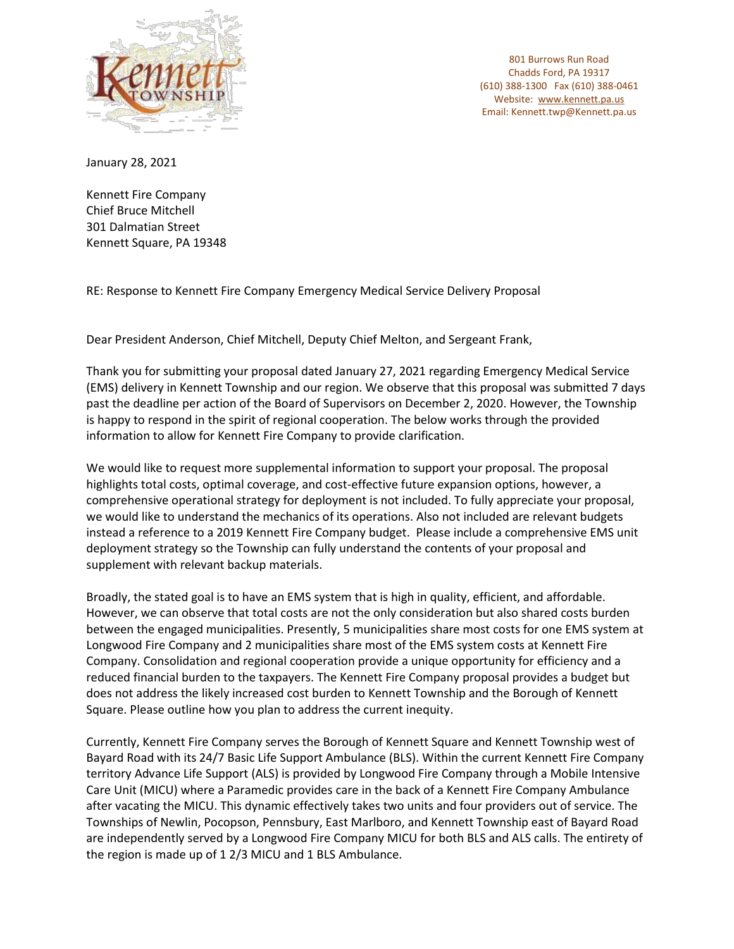

January 28, 2021

Kennett Fire Company Chief Bruce Mitchell 301 Dalmatian Street Kennett Square, PA 19348

RE: Response to Kennett Fire Company Emergency Medical Service Delivery Proposal

Dear President Anderson, Chief Mitchell, Deputy Chief Melton, and Sergeant Frank,

Thank you for submitting your proposal dated January 27, 2021 regarding Emergency Medical Service (EMS) delivery in Kennett Township and our region. We observe that this proposal was submitted 7 days past the deadline per action of the Board of Supervisors on December 2, 2020. However, the Township is happy to respond in the spirit of regional cooperation. The below works through the provided information to allow for Kennett Fire Company to provide clarification.

We would like to request more supplemental information to support your proposal. The proposal highlights total costs, optimal coverage, and cost-effective future expansion options, however, a comprehensive operational strategy for deployment is not included. To fully appreciate your proposal, we would like to understand the mechanics of its operations. Also not included are relevant budgets instead a reference to a 2019 Kennett Fire Company budget. Please include a comprehensive EMS unit deployment strategy so the Township can fully understand the contents of your proposal and supplement with relevant backup materials.

Broadly, the stated goal is to have an EMS system that is high in quality, efficient, and affordable. However, we can observe that total costs are not the only consideration but also shared costs burden between the engaged municipalities. Presently, 5 municipalities share most costs for one EMS system at Longwood Fire Company and 2 municipalities share most of the EMS system costs at Kennett Fire Company. Consolidation and regional cooperation provide a unique opportunity for efficiency and a reduced financial burden to the taxpayers. The Kennett Fire Company proposal provides a budget but does not address the likely increased cost burden to Kennett Township and the Borough of Kennett Square. Please outline how you plan to address the current inequity.

Currently, Kennett Fire Company serves the Borough of Kennett Square and Kennett Township west of Bayard Road with its 24/7 Basic Life Support Ambulance (BLS). Within the current Kennett Fire Company territory Advance Life Support (ALS) is provided by Longwood Fire Company through a Mobile Intensive Care Unit (MICU) where a Paramedic provides care in the back of a Kennett Fire Company Ambulance after vacating the MICU. This dynamic effectively takes two units and four providers out of service. The Townships of Newlin, Pocopson, Pennsbury, East Marlboro, and Kennett Township east of Bayard Road are independently served by a Longwood Fire Company MICU for both BLS and ALS calls. The entirety of the region is made up of 1 2/3 MICU and 1 BLS Ambulance.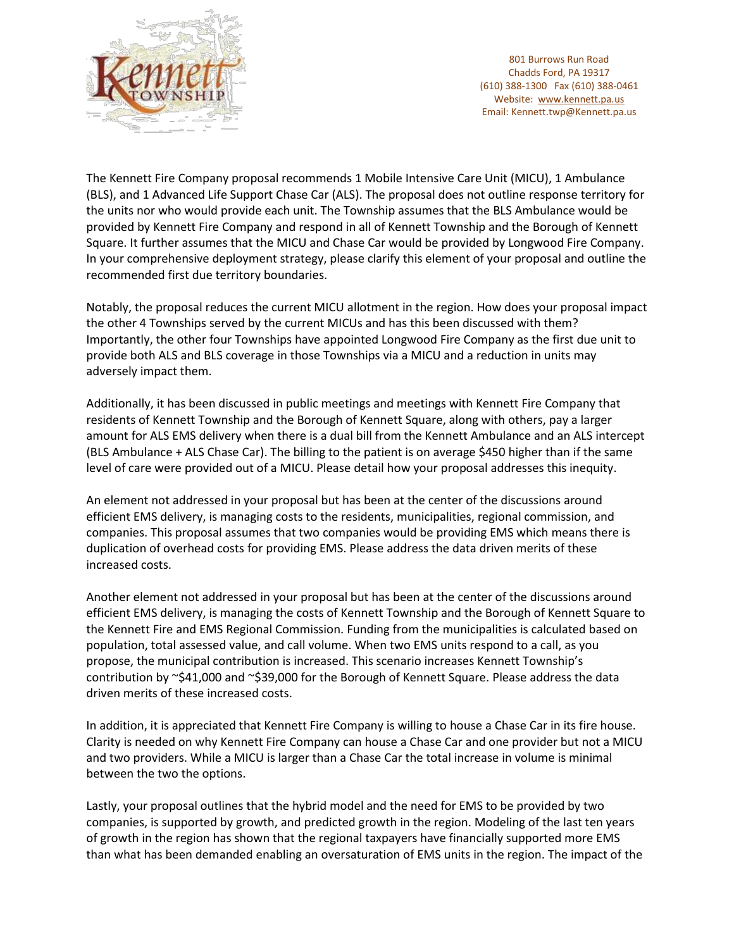

The Kennett Fire Company proposal recommends 1 Mobile Intensive Care Unit (MICU), 1 Ambulance (BLS), and 1 Advanced Life Support Chase Car (ALS). The proposal does not outline response territory for the units nor who would provide each unit. The Township assumes that the BLS Ambulance would be provided by Kennett Fire Company and respond in all of Kennett Township and the Borough of Kennett Square. It further assumes that the MICU and Chase Car would be provided by Longwood Fire Company. In your comprehensive deployment strategy, please clarify this element of your proposal and outline the recommended first due territory boundaries.

Notably, the proposal reduces the current MICU allotment in the region. How does your proposal impact the other 4 Townships served by the current MICUs and has this been discussed with them? Importantly, the other four Townships have appointed Longwood Fire Company as the first due unit to provide both ALS and BLS coverage in those Townships via a MICU and a reduction in units may adversely impact them.

Additionally, it has been discussed in public meetings and meetings with Kennett Fire Company that residents of Kennett Township and the Borough of Kennett Square, along with others, pay a larger amount for ALS EMS delivery when there is a dual bill from the Kennett Ambulance and an ALS intercept (BLS Ambulance + ALS Chase Car). The billing to the patient is on average \$450 higher than if the same level of care were provided out of a MICU. Please detail how your proposal addresses this inequity.

An element not addressed in your proposal but has been at the center of the discussions around efficient EMS delivery, is managing costs to the residents, municipalities, regional commission, and companies. This proposal assumes that two companies would be providing EMS which means there is duplication of overhead costs for providing EMS. Please address the data driven merits of these increased costs.

Another element not addressed in your proposal but has been at the center of the discussions around efficient EMS delivery, is managing the costs of Kennett Township and the Borough of Kennett Square to the Kennett Fire and EMS Regional Commission. Funding from the municipalities is calculated based on population, total assessed value, and call volume. When two EMS units respond to a call, as you propose, the municipal contribution is increased. This scenario increases Kennett Township's contribution by ~\$41,000 and ~\$39,000 for the Borough of Kennett Square. Please address the data driven merits of these increased costs.

In addition, it is appreciated that Kennett Fire Company is willing to house a Chase Car in its fire house. Clarity is needed on why Kennett Fire Company can house a Chase Car and one provider but not a MICU and two providers. While a MICU is larger than a Chase Car the total increase in volume is minimal between the two the options.

Lastly, your proposal outlines that the hybrid model and the need for EMS to be provided by two companies, is supported by growth, and predicted growth in the region. Modeling of the last ten years of growth in the region has shown that the regional taxpayers have financially supported more EMS than what has been demanded enabling an oversaturation of EMS units in the region. The impact of the